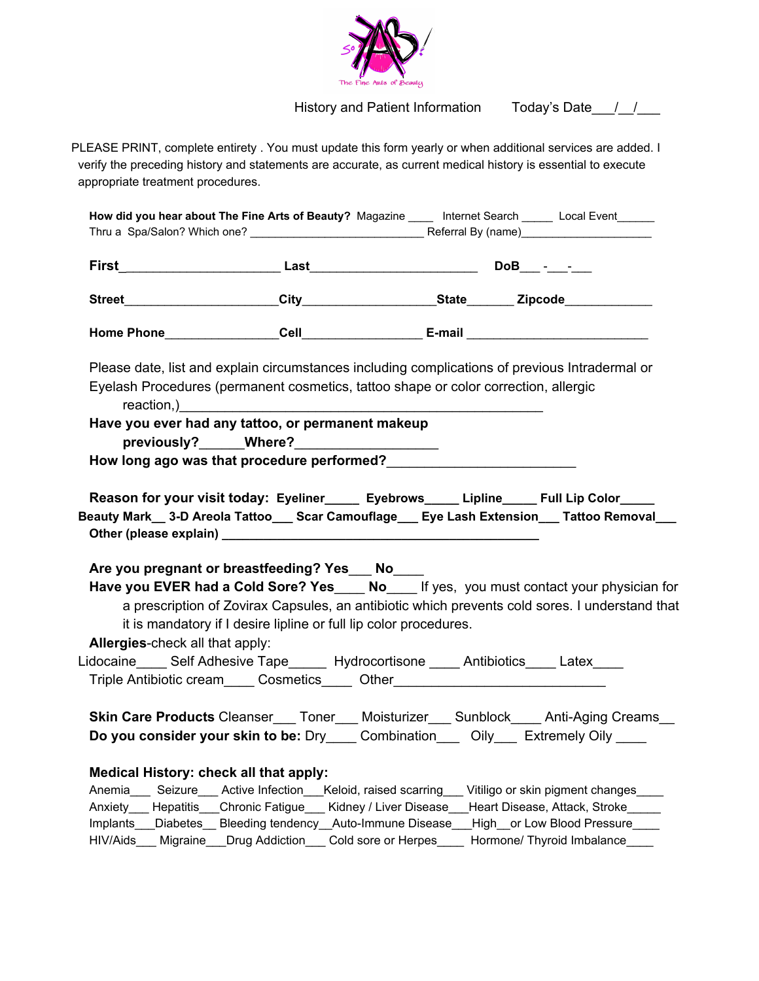

History and Patient Information Today's Date\_\_\_/\_\_/\_\_\_

PLEASE PRINT, complete entirety . You must update this form yearly or when additional services are added. I verify the preceding history and statements are accurate, as current medical history is essential to execute appropriate treatment procedures.

| How did you hear about The Fine Arts of Beauty? Magazine _____ Internet Search ______ Local Event_______                   |                                                                                                                                                                                                                                                                                     |  |                                                                                                                                                                                                                                                                                                                                                                                              |
|----------------------------------------------------------------------------------------------------------------------------|-------------------------------------------------------------------------------------------------------------------------------------------------------------------------------------------------------------------------------------------------------------------------------------|--|----------------------------------------------------------------------------------------------------------------------------------------------------------------------------------------------------------------------------------------------------------------------------------------------------------------------------------------------------------------------------------------------|
|                                                                                                                            |                                                                                                                                                                                                                                                                                     |  |                                                                                                                                                                                                                                                                                                                                                                                              |
|                                                                                                                            |                                                                                                                                                                                                                                                                                     |  |                                                                                                                                                                                                                                                                                                                                                                                              |
|                                                                                                                            |                                                                                                                                                                                                                                                                                     |  |                                                                                                                                                                                                                                                                                                                                                                                              |
|                                                                                                                            | Eyelash Procedures (permanent cosmetics, tattoo shape or color correction, allergic                                                                                                                                                                                                 |  | Please date, list and explain circumstances including complications of previous Intradermal or                                                                                                                                                                                                                                                                                               |
|                                                                                                                            | reaction, example and the contract of the contract of the contract of the contract of the contract of the contract of the contract of the contract of the contract of the contract of the contract of the contract of the cont<br>Have you ever had any tattoo, or permanent makeup |  |                                                                                                                                                                                                                                                                                                                                                                                              |
|                                                                                                                            |                                                                                                                                                                                                                                                                                     |  |                                                                                                                                                                                                                                                                                                                                                                                              |
|                                                                                                                            | Are you pregnant or breastfeeding? Yes ___ No____<br>it is mandatory if I desire lipline or full lip color procedures.                                                                                                                                                              |  | Beauty Mark__ 3-D Areola Tattoo___ Scar Camouflage___ Eye Lash Extension___ Tattoo Removal___<br>Have you EVER had a Cold Sore? Yes____ No____ If yes, you must contact your physician for<br>a prescription of Zovirax Capsules, an antibiotic which prevents cold sores. I understand that                                                                                                 |
| Allergies-check all that apply:<br>Lidocaine_____ Self Adhesive Tape______ Hydrocortisone _____ Antibiotics_____ Latex____ | Triple Antibiotic cream_____ Cosmetics_____ Other_______________________________                                                                                                                                                                                                    |  |                                                                                                                                                                                                                                                                                                                                                                                              |
|                                                                                                                            |                                                                                                                                                                                                                                                                                     |  | Skin Care Products Cleanser___ Toner___ Moisturizer___ Sunblock____ Anti-Aging Creams__<br>Do you consider your skin to be: Dry _____ Combination _____ Oily ____ Extremely Oily _____                                                                                                                                                                                                       |
| Medical History: check all that apply:                                                                                     |                                                                                                                                                                                                                                                                                     |  | Anemia_____ Seizure_____ Active Infection____Keloid, raised scarring____ Vitiligo or skin pigment changes_____<br>Anxiety Hepatitis Chronic Fatigue Kidney / Liver Disease Heart Disease, Attack, Stroke<br>Implants___Diabetes__Bleeding tendency__Auto-Immune Disease___High__or Low Blood Pressure____<br>HIV/Aids Migraine Drug Addiction Cold sore or Herpes Hormone/ Thyroid Imbalance |